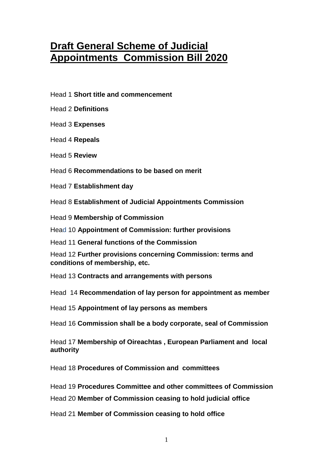# **Draft General Scheme of Judicial Appointments Commission Bill 2020**

- Head 1 **Short title and commencement**
- Head 2 **Definitions**
- Head 3 **Expenses**
- Head 4 **Repeals**
- Head 5 **Review**
- Head 6 **Recommendations to be based on merit**
- Head 7 **Establishment day**

Head 8 **Establishment of Judicial Appointments Commission** 

Head 9 **Membership of Commission**

Head 10 **Appointment of Commission: further provisions**

Head 11 **General functions of the Commission**

Head 12 **Further provisions concerning Commission: terms and conditions of membership, etc.**

Head 13 **Contracts and arrangements with persons**

Head 14 **Recommendation of lay person for appointment as member** 

Head 15 **Appointment of lay persons as members**

Head 16 **Commission shall be a body corporate, seal of Commission**

Head 17 **Membership of Oireachtas , European Parliament and local authority** 

Head 18 **Procedures of Commission and committees**

Head 19 **Procedures Committee and other committees of Commission**

Head 20 **Member of Commission ceasing to hold judicial office**

Head 21 **Member of Commission ceasing to hold office**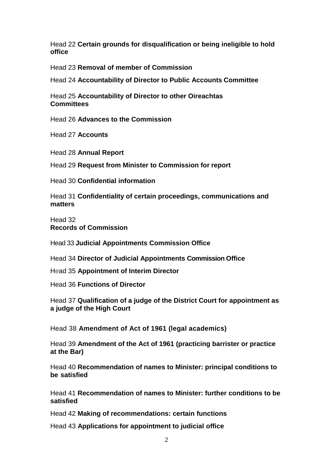Head 22 **Certain grounds for disqualification or being ineligible to hold office**

Head 23 **Removal of member of Commission**

Head 24 **Accountability of Director to Public Accounts Committee**

Head 25 **Accountability of Director to other Oireachtas Committees**

Head 26 **Advances to the Commission**

Head 27 **Accounts**

Head 28 **Annual Report**

Head 29 **Request from Minister to Commission for report**

Head 30 **Confidential information**

Head 31 **Confidentiality of certain proceedings, communications and matters**

Head 32 **Records of Commission**

Head 33 **Judicial Appointments Commission Office**

Head 34 **Director of Judicial Appointments Commission Office**

Head 35 **Appointment of Interim Director** 

Head 36 **Functions of Director**

Head 37 **Qualification of a judge of the District Court for appointment as a judge of the High Court**

Head 38 **Amendment of Act of 1961 (legal academics)**

Head 39 **Amendment of the Act of 1961 (practicing barrister or practice at the Bar)** 

Head 40 **Recommendation of names to Minister: principal conditions to be satisfied**

Head 41 **Recommendation of names to Minister: further conditions to be satisfied**

Head 42 **Making of recommendations: certain functions**

Head 43 **Applications for appointment to judicial office**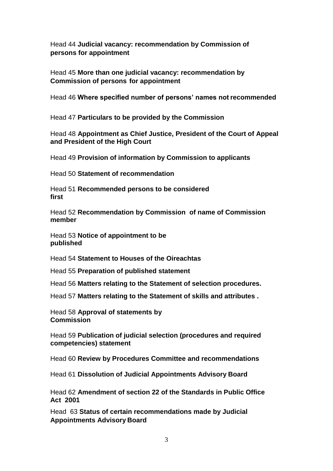Head 44 **Judicial vacancy: recommendation by Commission of persons for appointment**

Head 45 **More than one judicial vacancy: recommendation by Commission of persons for appointment**

Head 46 **Where specified number of persons' names not recommended**

Head 47 **Particulars to be provided by the Commission** 

Head 48 **Appointment as Chief Justice, President of the Court of Appeal and President of the High Court**

Head 49 **Provision of information by Commission to applicants**

Head 50 **Statement of recommendation**

Head 51 **Recommended persons to be considered first**

Head 52 **Recommendation by Commission of name of Commission member**

Head 53 **Notice of appointment to be published**

Head 54 **Statement to Houses of the Oireachtas** 

Head 55 **Preparation of published statement**

Head 56 **Matters relating to the Statement of selection procedures.**

Head 57 **Matters relating to the Statement of skills and attributes .**

Head 58 **Approval of statements by Commission**

Head 59 **Publication of judicial selection (procedures and required competencies) statement**

Head 60 **Review by Procedures Committee and recommendations**

Head 61 **Dissolution of Judicial Appointments Advisory Board**

Head 62 **Amendment of section 22 of the Standards in Public Office Act 2001**

Head 63 **Status of certain recommendations made by Judicial Appointments Advisory Board**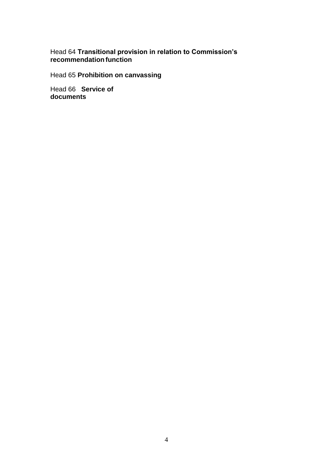Head 64 **Transitional provision in relation to Commission's recommendation function**

Head 65 **Prohibition on canvassing**

Head 66 **Service of documents**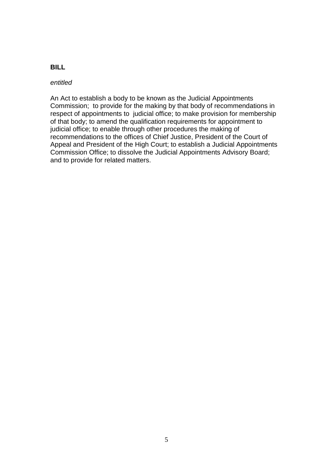### **BILL**

#### *entitled*

An Act to establish a body to be known as the Judicial Appointments Commission; to provide for the making by that body of recommendations in respect of appointments to judicial office; to make provision for membership of that body; to amend the qualification requirements for appointment to judicial office; to enable through other procedures the making of recommendations to the offices of Chief Justice, President of the Court of Appeal and President of the High Court; to establish a Judicial Appointments Commission Office; to dissolve the Judicial Appointments Advisory Board; and to provide for related matters.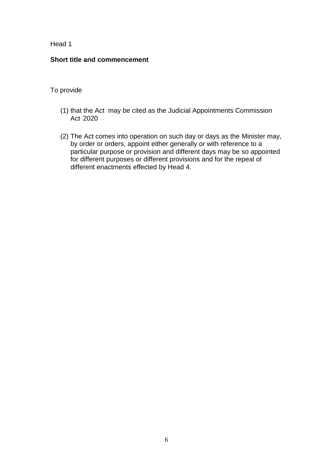#### **Short title and commencement**

- (1) that the Act may be cited as the Judicial Appointments Commission Act 2020
- (2) The Act comes into operation on such day or days as the Minister may, by order or orders, appoint either generally or with reference to a particular purpose or provision and different days may be so appointed for different purposes or different provisions and for the repeal of different enactments effected by Head 4.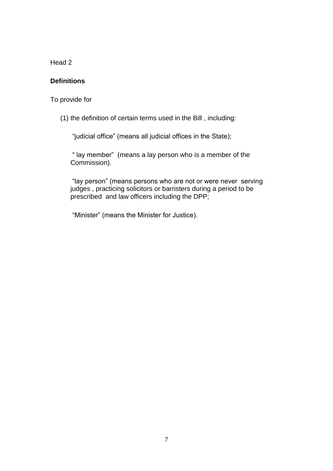### **Definitions**

To provide for

(1) the definition of certain terms used in the Bill , including:

"judicial office" (means all judicial offices in the State);

" lay member" (means a lay person who is a member of the Commission)*.*

"lay person" (means persons who are not or were never serving judges , practicing solicitors or barristers during a period to be prescribed and law officers including the DPP;

"Minister" (means the Minister for Justice).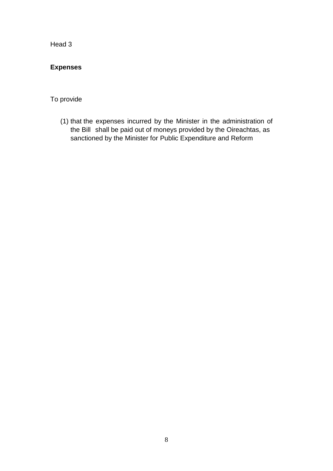# **Expenses**

# To provide

(1) that the expenses incurred by the Minister in the administration of the Bill shall be paid out of moneys provided by the Oireachtas, as sanctioned by the Minister for Public Expenditure and Reform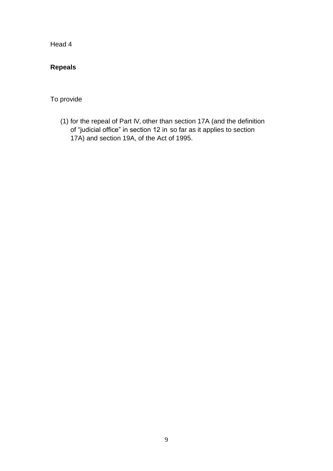# **Repeals**

To provide

(1) for the repeal of Part IV, other than section 17A (and the definition of "judicial office" in section 12 in so far as it applies to section 17A) and section 19A, of the Act of 1995.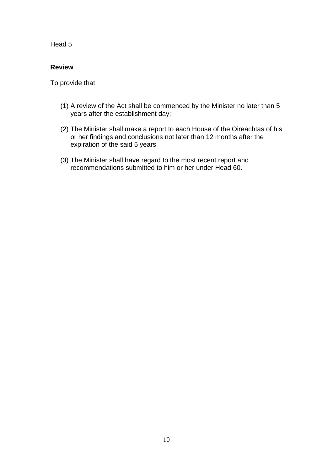#### **Review**

- (1) A review of the Act shall be commenced by the Minister no later than 5 years after the establishment day;
- (2) The Minister shall make a report to each House of the Oireachtas of his or her findings and conclusions not later than 12 months after the expiration of the said 5 years
- (3) The Minister shall have regard to the most recent report and recommendations submitted to him or her under Head 60.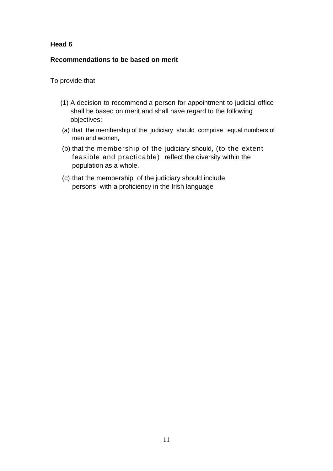#### **Recommendations to be based on merit**

- (1) A decision to recommend a person for appointment to judicial office shall be based on merit and shall have regard to the following objectives:
- (a) that the membership of the judiciary should comprise equal numbers of men and women,
- (b) that the membership of the judiciary should, (to the extent feasible and practicable) reflect the diversity within the population as a whole.
- (c) that the membership of the judiciary should include persons with a proficiency in the Irish language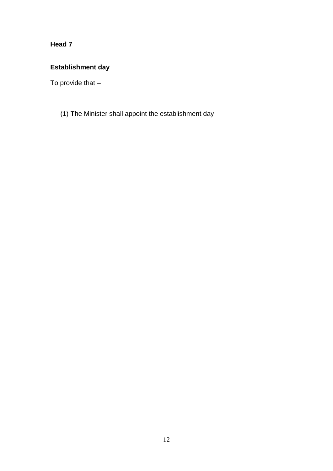# **Establishment day**

To provide that –

(1) The Minister shall appoint the establishment day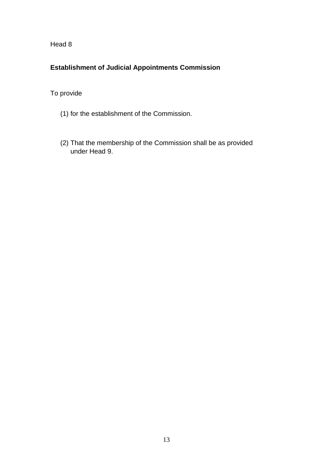# **Establishment of Judicial Appointments Commission**

- (1) for the establishment of the Commission.
- (2) That the membership of the Commission shall be as provided under Head 9.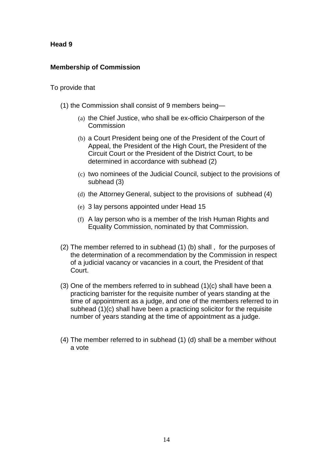# **Membership of Commission**

- (1) the Commission shall consist of 9 members being—
	- (a) the Chief Justice, who shall be ex-officio Chairperson of the Commission
	- (b) a Court President being one of the President of the Court of Appeal, the President of the High Court, the President of the Circuit Court or the President of the District Court, to be determined in accordance with subhead (2)
	- (c) two nominees of the Judicial Council, subject to the provisions of subhead (3)
	- (d) the Attorney General, subject to the provisions of subhead (4)
	- (e) 3 lay persons appointed under Head 15
	- (f) A lay person who is a member of the Irish Human Rights and Equality Commission, nominated by that Commission.
- (2) The member referred to in subhead (1) (b) shall , for the purposes of the determination of a recommendation by the Commission in respect of a judicial vacancy or vacancies in a court, the President of that Court.
- (3) One of the members referred to in subhead (1)(c) shall have been a practicing barrister for the requisite number of years standing at the time of appointment as a judge, and one of the members referred to in subhead (1)(c) shall have been a practicing solicitor for the requisite number of years standing at the time of appointment as a judge.
- (4) The member referred to in subhead (1) (d) shall be a member without a vote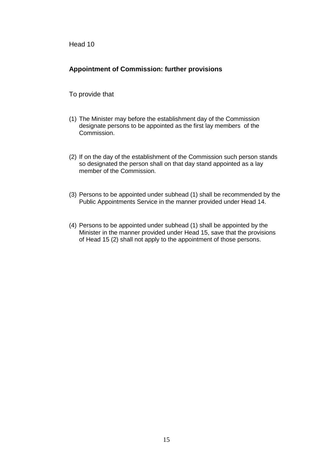### **Appointment of Commission: further provisions**

- (1) The Minister may before the establishment day of the Commission designate persons to be appointed as the first lay members of the Commission.
- (2) If on the day of the establishment of the Commission such person stands so designated the person shall on that day stand appointed as a lay member of the Commission.
- (3) Persons to be appointed under subhead (1) shall be recommended by the Public Appointments Service in the manner provided under Head 14.
- (4) Persons to be appointed under subhead (1) shall be appointed by the Minister in the manner provided under Head 15, save that the provisions of Head 15 (2) shall not apply to the appointment of those persons.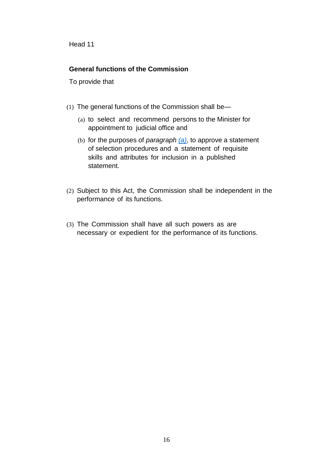#### **General functions of the Commission**

- <span id="page-15-0"></span>(1) The general functions of the Commission shall be—
	- (a) to select and recommend persons to the Minister for appointment to judicial office and
	- (b) for the purposes of *paragraph [\(a\)](#page-15-0)*, to approve a statement of selection procedures and a statement of requisite skills and attributes for inclusion in a published statement.
- (2) Subject to this Act, the Commission shall be independent in the performance of its functions.
- (3) The Commission shall have all such powers as are necessary or expedient for the performance of its functions.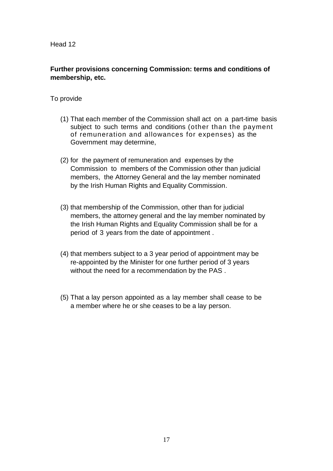# **Further provisions concerning Commission: terms and conditions of membership, etc.**

- (1) That each member of the Commission shall act on a part-time basis subject to such terms and conditions (other than the payment of remuneration and allowances for expenses) as the Government may determine,
- (2) for the payment of remuneration and expenses by the Commission to members of the Commission other than judicial members, the Attorney General and the lay member nominated by the Irish Human Rights and Equality Commission.
- (3) that membership of the Commission, other than for judicial members, the attorney general and the lay member nominated by the Irish Human Rights and Equality Commission shall be for a period of 3 years from the date of appointment .
- (4) that members subject to a 3 year period of appointment may be re-appointed by the Minister for one further period of 3 years without the need for a recommendation by the PAS .
- (5) That a lay person appointed as a lay member shall cease to be a member where he or she ceases to be a lay person.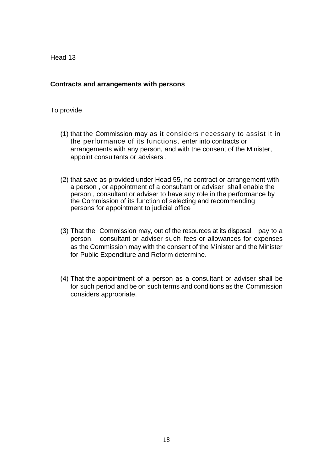#### **Contracts and arrangements with persons**

- (1) that the Commission may as it considers necessary to assist it in the performance of its functions, enter into contracts or arrangements with any person, and with the consent of the Minister, appoint consultants or advisers .
- (2) that save as provided under Head 55, no contract or arrangement with a person , or appointment of a consultant or adviser shall enable the person , consultant or adviser to have any role in the performance by the Commission of its function of selecting and recommending persons for appointment to judicial office
- (3) That the Commission may, out of the resources at its disposal, pay to a person, consultant or adviser such fees or allowances for expenses as the Commission may with the consent of the Minister and the Minister for Public Expenditure and Reform determine.
- (4) That the appointment of a person as a consultant or adviser shall be for such period and be on such terms and conditions as the Commission considers appropriate.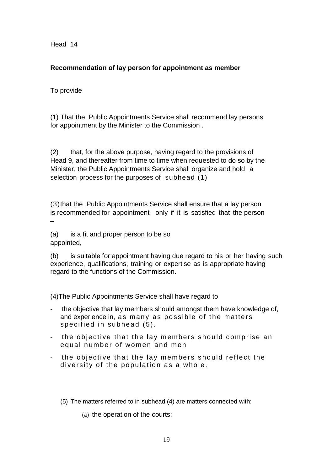# **Recommendation of lay person for appointment as member**

# To provide

–

(1) That the Public Appointments Service shall recommend lay persons for appointment by the Minister to the Commission .

(2) that, for the above purpose, having regard to the provisions of Head 9, and thereafter from time to time when requested to do so by the Minister, the Public Appointments Service shall organize and hold a selection process for the purposes of subhead (1)

(3)that the Public Appointments Service shall ensure that a lay person is recommended for appointment only if it is satisfied that the person

(a) is a fit and proper person to be so appointed,

(b) is suitable for appointment having due regard to his or her having such experience, qualifications, training or expertise as is appropriate having regard to the functions of the Commission.

(4)The Public Appointments Service shall have regard to

- the objective that lay members should amongst them have knowledge of. and experience in, as many as possible of the matters specified in subhead (5).
- the objective that the lay members should comprise an equal number of women and men
- the objective that the lay members should reflect the diversity of the population as a whole.
	- (5) The matters referred to in subhead (4) are matters connected with:
		- (a) the operation of the courts;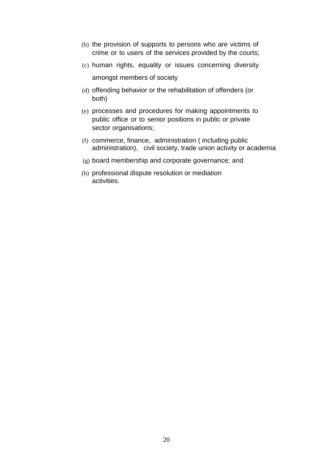- (b) the provision of supports to persons who are victims of crime or to users of the services provided by the courts;
- (c) human rights, equality or issues concerning diversity amongst members of society
- (d) offending behavior or the rehabilitation of offenders (or both)
- (e) processes and procedures for making appointments to public office or to senior positions in public or private sector organisations;
- (f) commerce, finance, administration ( including public administration), civil society, trade union activity or academia
- (g) board membership and corporate governance; and
- (h) professional dispute resolution or mediation activities.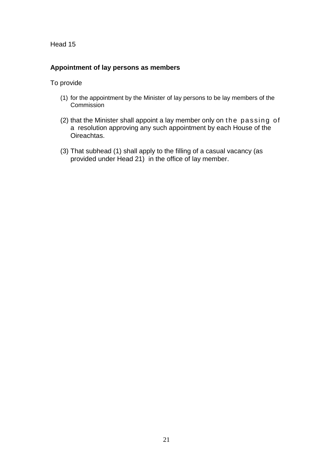# **Appointment of lay persons as members**

- (1) for the appointment by the Minister of lay persons to be lay members of the Commission
- $(2)$  that the Minister shall appoint a lay member only on the passing of a resolution approving any such appointment by each House of the Oireachtas.
- (3) That subhead (1) shall apply to the filling of a casual vacancy (as provided under Head 21) in the office of lay member.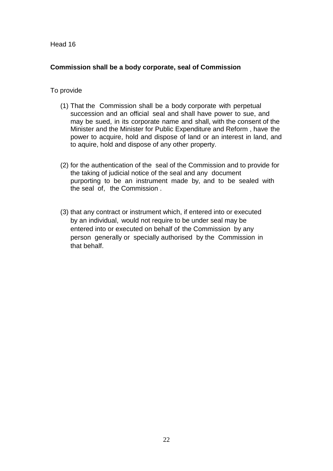### **Commission shall be a body corporate, seal of Commission**

- (1) That the Commission shall be a body corporate with perpetual succession and an official seal and shall have power to sue, and may be sued, in its corporate name and shall, with the consent of the Minister and the Minister for Public Expenditure and Reform , have the power to acquire, hold and dispose of land or an interest in land, and to aquire, hold and dispose of any other property.
- (2) for the authentication of the seal of the Commission and to provide for the taking of judicial notice of the seal and any document purporting to be an instrument made by, and to be sealed with the seal of, the Commission .
- (3) that any contract or instrument which, if entered into or executed by an individual, would not require to be under seal may be entered into or executed on behalf of the Commission by any person generally or specially authorised by the Commission in that behalf.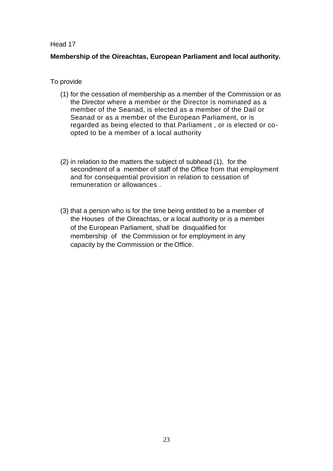# **Membership of the Oireachtas, European Parliament and local authority.**

- (1) for the cessation of membership as a member of the Commission or as the Director where a member or the Director is nominated as a member of the Seanad, is elected as a member of the Dail or Seanad or as a member of the European Parliament, or is regarded as being elected to that Parliament , or is elected or coopted to be a member of a local authority
- (2) in relation to the matters the subject of subhead (1), for the secondment of a member of staff of the Office from that employment and for consequential provision in relation to cessation of remuneration or allowances .
- (3) that a person who is for the time being entitled to be a member of the Houses of the Oireachtas, or a local authority or is a member of the European Parliament, shall be disqualified for membership of the Commission or for employment in any capacity by the Commission or the Office.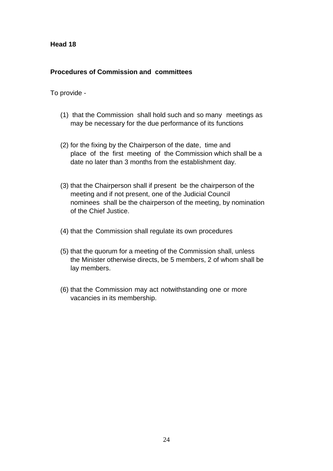#### **Procedures of Commission and committees**

- (1) that the Commission shall hold such and so many meetings as may be necessary for the due performance of its functions
- (2) for the fixing by the Chairperson of the date, time and place of the first meeting of the Commission which shall be a date no later than 3 months from the establishment day.
- (3) that the Chairperson shall if present be the chairperson of the meeting and if not present, one of the Judicial Council nominees shall be the chairperson of the meeting, by nomination of the Chief Justice.
- (4) that the Commission shall regulate its own procedures
- (5) that the quorum for a meeting of the Commission shall, unless the Minister otherwise directs, be 5 members, 2 of whom shall be lay members.
- (6) that the Commission may act notwithstanding one or more vacancies in its membership.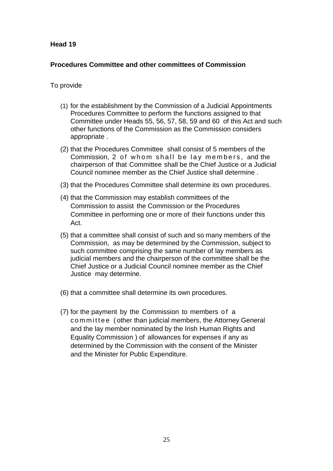#### **Procedures Committee and other committees of Commission**

- (1) for the establishment by the Commission of a Judicial Appointments Procedures Committee to perform the functions assigned to that Committee under Heads 55, 56, 57, 58, 59 and 60 of this Act and such other functions of the Commission as the Commission considers appropriate .
- (2) that the Procedures Committee shall consist of 5 members of the Commission, 2 of whom shall be lay members, and the chairperson of that Committee shall be the Chief Justice or a Judicial Council nominee member as the Chief Justice shall determine .
- (3) that the Procedures Committee shall determine its own procedures.
- (4) that the Commission may establish committees of the Commission to assist the Commission or the Procedures Committee in performing one or more of their functions under this Act.
- (5) that a committee shall consist of such and so many members of the Commission, as may be determined by the Commission, subject to such committee comprising the same number of lay members as judicial members and the chairperson of the committee shall be the Chief Justice or a Judicial Council nominee member as the Chief Justice may determine.
- (6) that a committee shall determine its own procedures.
- (7) for the payment by the Commission to members of a committee (other than judicial members, the Attorney General and the lay member nominated by the Irish Human Rights and Equality Commission ) of allowances for expenses if any as determined by the Commission with the consent of the Minister and the Minister for Public Expenditure.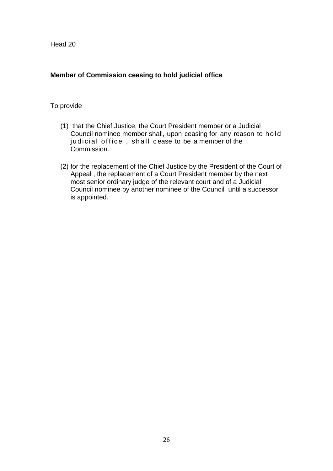# **Member of Commission ceasing to hold judicial office**

- (1) that the Chief Justice, the Court President member or a Judicial Council nominee member shall, upon ceasing for any reason to ho ld judicial office, shall cease to be a member of the Commission.
- (2) for the replacement of the Chief Justice by the President of the Court of Appeal , the replacement of a Court President member by the next most senior ordinary judge of the relevant court and of a Judicial Council nominee by another nominee of the Council until a successor is appointed.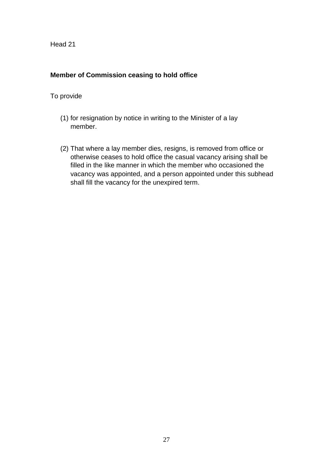# **Member of Commission ceasing to hold office**

- (1) for resignation by notice in writing to the Minister of a lay member.
- (2) That where a lay member dies, resigns, is removed from office or otherwise ceases to hold office the casual vacancy arising shall be filled in the like manner in which the member who occasioned the vacancy was appointed, and a person appointed under this subhead shall fill the vacancy for the unexpired term.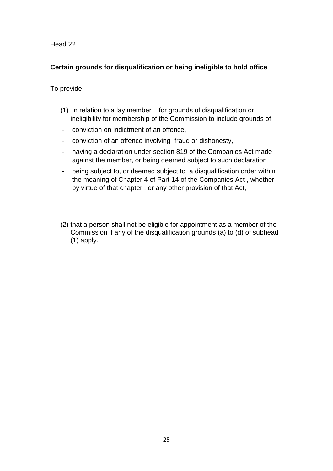# **Certain grounds for disqualification or being ineligible to hold office**

- (1) in relation to a lay member , for grounds of disqualification or ineligibility for membership of the Commission to include grounds of
- conviction on indictment of an offence,
- conviction of an offence involving fraud or dishonesty,
- having a declaration under section 819 of the Companies Act made against the member, or being deemed subject to such declaration
- being subject to, or deemed subject to a disqualification order within the meaning of Chapter 4 of Part 14 of the Companies Act , whether by virtue of that chapter , or any other provision of that Act,
- (2) that a person shall not be eligible for appointment as a member of the Commission if any of the disqualification grounds (a) to (d) of subhead (1) apply.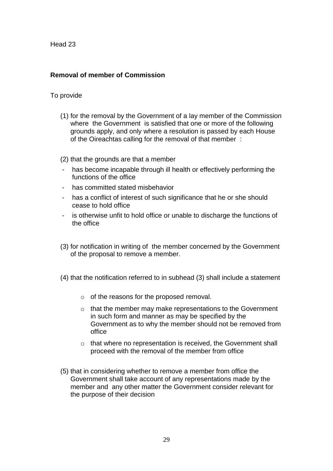# **Removal of member of Commission**

#### To provide

(1) for the removal by the Government of a lay member of the Commission where the Government is satisfied that one or more of the following grounds apply, and only where a resolution is passed by each House of the Oireachtas calling for the removal of that member :

(2) that the grounds are that a member

- has become incapable through ill health or effectively performing the functions of the office
- has committed stated misbehavior
- has a conflict of interest of such significance that he or she should cease to hold office
- is otherwise unfit to hold office or unable to discharge the functions of the office
- (3) for notification in writing of the member concerned by the Government of the proposal to remove a member.
- (4) that the notification referred to in subhead (3) shall include a statement
	- o of the reasons for the proposed removal.
	- $\circ$  that the member may make representations to the Government in such form and manner as may be specified by the Government as to why the member should not be removed from office
	- o that where no representation is received, the Government shall proceed with the removal of the member from office
- (5) that in considering whether to remove a member from office the Government shall take account of any representations made by the member and any other matter the Government consider relevant for the purpose of their decision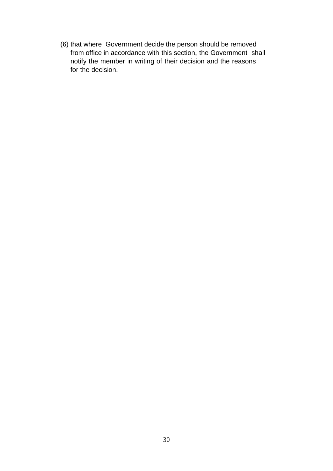(6) that where Government decide the person should be removed from office in accordance with this section, the Government shall notify the member in writing of their decision and the reasons for the decision.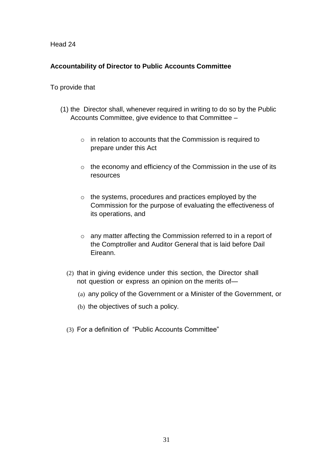# **Accountability of Director to Public Accounts Committee**

- (1) the Director shall, whenever required in writing to do so by the Public Accounts Committee, give evidence to that Committee –
	- o in relation to accounts that the Commission is required to prepare under this Act
	- $\circ$  the economy and efficiency of the Commission in the use of its resources
	- o the systems, procedures and practices employed by the Commission for the purpose of evaluating the effectiveness of its operations, and
	- o any matter affecting the Commission referred to in a report of the Comptroller and Auditor General that is laid before Dail Eireann.
	- (2) that in giving evidence under this section, the Director shall not question or express an opinion on the merits of—
		- (a) any policy of the Government or a Minister of the Government, or
		- (b) the objectives of such a policy.
	- (3) For a definition of "Public Accounts Committee"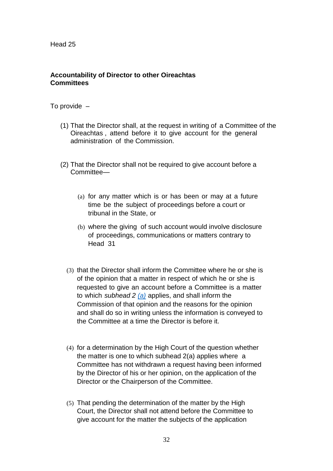#### **Accountability of Director to other Oireachtas Committees**

- (1) That the Director shall, at the request in writing of a Committee of the Oireachtas , attend before it to give account for the general administration of the Commission.
- <span id="page-31-0"></span>(2) That the Director shall not be required to give account before a Committee—
	- (a) for any matter which is or has been or may at a future time be the subject of proceedings before a court or tribunal in the State, or
	- (b) where the giving of such account would involve disclosure of proceedings, communications or matters contrary to Head 31
	- (3) that the Director shall inform the Committee where he or she is of the opinion that a matter in respect of which he or she is requested to give an account before a Committee is a matter to which *subhead 2 [\(a\)](#page-31-0)* applies, and shall inform the Commission of that opinion and the reasons for the opinion and shall do so in writing unless the information is conveyed to the Committee at a time the Director is before it.
	- (4) for a determination by the High Court of the question whether the matter is one to which subhead 2(a) applies where a Committee has not withdrawn a request having been informed by the Director of his or her opinion, on the application of the Director or the Chairperson of the Committee.
	- (5) That pending the determination of the matter by the High Court, the Director shall not attend before the Committee to give account for the matter the subjects of the application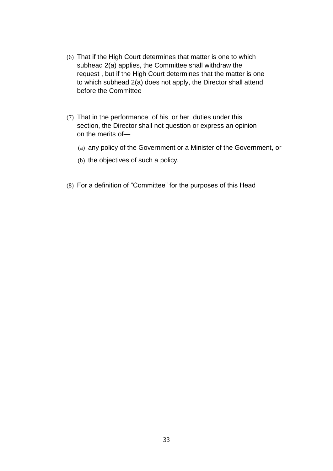- (6) That if the High Court determines that matter is one to which subhead 2(a) applies, the Committee shall withdraw the request , but if the High Court determines that the matter is one to which subhead 2(a) does not apply, the Director shall attend before the Committee
- (7) That in the performance of his or her duties under this section, the Director shall not question or express an opinion on the merits of—
	- (a) any policy of the Government or a Minister of the Government, or
	- (b) the objectives of such a policy.
- (8) For a definition of "Committee" for the purposes of this Head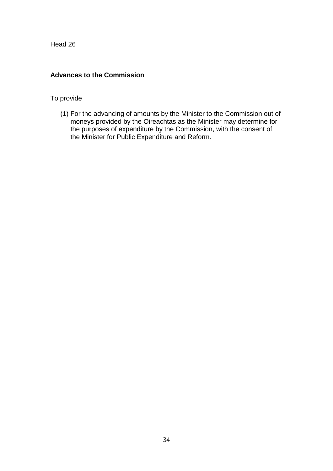# **Advances to the Commission**

### To provide

(1) For the advancing of amounts by the Minister to the Commission out of moneys provided by the Oireachtas as the Minister may determine for the purposes of expenditure by the Commission, with the consent of the Minister for Public Expenditure and Reform.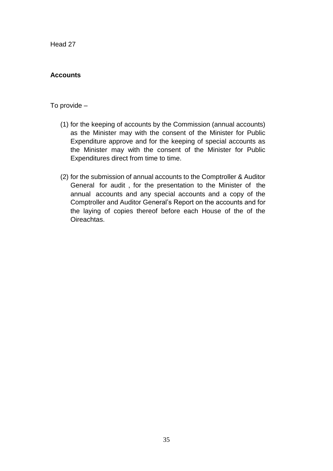# **Accounts**

- (1) for the keeping of accounts by the Commission (annual accounts) as the Minister may with the consent of the Minister for Public Expenditure approve and for the keeping of special accounts as the Minister may with the consent of the Minister for Public Expenditures direct from time to time.
- (2) for the submission of annual accounts to the Comptroller & Auditor General for audit , for the presentation to the Minister of the annual accounts and any special accounts and a copy of the Comptroller and Auditor General's Report on the accounts and for the laying of copies thereof before each House of the of the Oireachtas.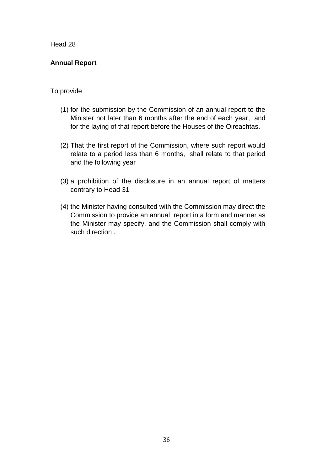# **Annual Report**

- (1) for the submission by the Commission of an annual report to the Minister not later than 6 months after the end of each year, and for the laying of that report before the Houses of the Oireachtas.
- (2) That the first report of the Commission, where such report would relate to a period less than 6 months, shall relate to that period and the following year
- (3) a prohibition of the disclosure in an annual report of matters contrary to Head 31
- (4) the Minister having consulted with the Commission may direct the Commission to provide an annual report in a form and manner as the Minister may specify, and the Commission shall comply with such direction .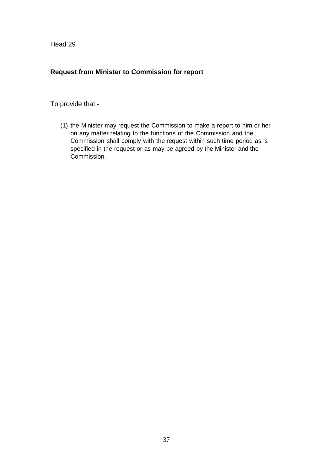# **Request from Minister to Commission for report**

To provide that -

(1) the Minister may request the Commission to make a report to him or her on any matter relating to the functions of the Commission and the Commission shall comply with the request within such time period as is specified in the request or as may be agreed by the Minister and the Commission.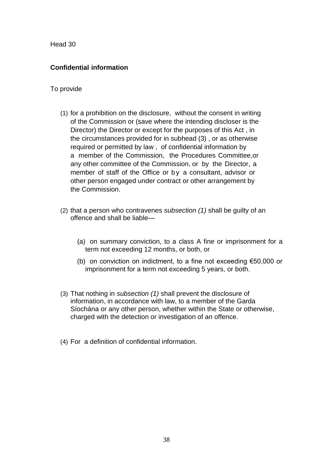# **Confidential information**

- (1) for a prohibition on the disclosure, without the consent in writing of the Commission or (save where the intending discloser is the Director) the Director or except for the purposes of this Act , in the circumstances provided for in subhead (3) , or as otherwise required or permitted by law , of confidential information by a member of the Commission, the Procedures Committee,or any other committee of the Commission, or by the Director, a member of staff of the Office or by a consultant, advisor or other person engaged under contract or other arrangement by the Commission.
- (2) that a person who contravenes *subsection (1)* shall be guilty of an offence and shall be liable—
	- (a) on summary conviction, to a class A fine or imprisonment for a term not exceeding 12 months, or both, or
	- (b) on conviction on indictment, to a fine not exceeding €50,000 or imprisonment for a term not exceeding 5 years, or both.
- (3) That nothing in *subsection (1)* shall prevent the disclosure of information, in accordance with law, to a member of the Garda Síochána or any other person, whether within the State or otherwise, charged with the detection or investigation of an offence.
- (4) For a definition of confidential information.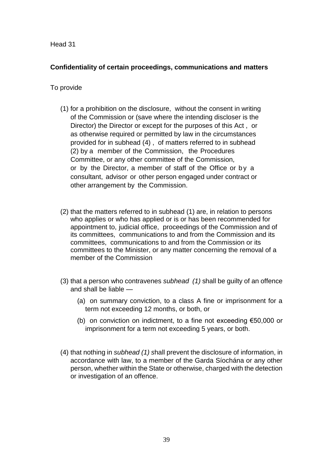# **Confidentiality of certain proceedings, communications and matters**

- (1) for a prohibition on the disclosure, without the consent in writing of the Commission or (save where the intending discloser is the Director) the Director or except for the purposes of this Act , or as otherwise required or permitted by law in the circumstances provided for in subhead (4) , of matters referred to in subhead (2) by a member of the Commission, the Procedures Committee, or any other committee of the Commission, or by the Director, a member of staff of the Office or by a consultant, advisor or other person engaged under contract or other arrangement by the Commission.
- (2) that the matters referred to in subhead (1) are, in relation to persons who applies or who has applied or is or has been recommended for appointment to, judicial office, proceedings of the Commission and of its committees, communications to and from the Commission and its committees, communications to and from the Commission or its committees to the Minister, or any matter concerning the removal of a member of the Commission
- (3) that a person who contravenes *subhead (1)* shall be guilty of an offence and shall be liable —
	- (a) on summary conviction, to a class A fine or imprisonment for a term not exceeding 12 months, or both, or
	- (b) on conviction on indictment, to a fine not exceeding €50,000 or imprisonment for a term not exceeding 5 years, or both.
- (4) that nothing in *subhead (1) s*hall prevent the disclosure of information, in accordance with law, to a member of the Garda Síochána or any other person, whether within the State or otherwise, charged with the detection or investigation of an offence.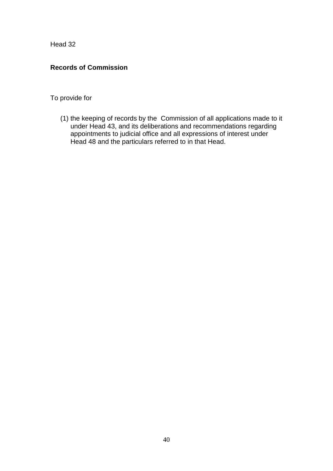# **Records of Commission**

# To provide for

(1) the keeping of records by the Commission of all applications made to it under Head 43, and its deliberations and recommendations regarding appointments to judicial office and all expressions of interest under Head 48 and the particulars referred to in that Head.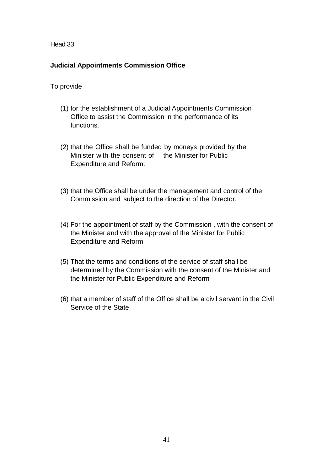### **Judicial Appointments Commission Office**

- (1) for the establishment of a Judicial Appointments Commission Office to assist the Commission in the performance of its functions.
- (2) that the Office shall be funded by moneys provided by the Minister with the consent of the Minister for Public Expenditure and Reform.
- (3) that the Office shall be under the management and control of the Commission and subject to the direction of the Director.
- (4) For the appointment of staff by the Commission , with the consent of the Minister and with the approval of the Minister for Public Expenditure and Reform
- (5) That the terms and conditions of the service of staff shall be determined by the Commission with the consent of the Minister and the Minister for Public Expenditure and Reform
- (6) that a member of staff of the Office shall be a civil servant in the Civil Service of the State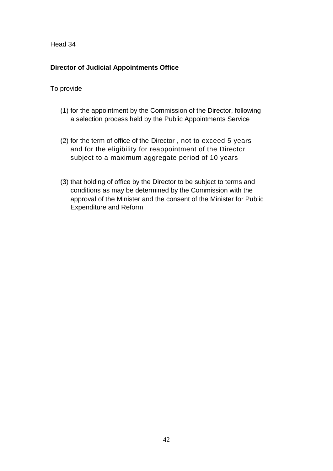# **Director of Judicial Appointments Office**

- (1) for the appointment by the Commission of the Director, following a selection process held by the Public Appointments Service
- (2) for the term of office of the Director , not to exceed 5 years and for the eligibility for reappointment of the Director subject to a maximum aggregate period of 10 years
- (3) that holding of office by the Director to be subject to terms and conditions as may be determined by the Commission with the approval of the Minister and the consent of the Minister for Public Expenditure and Reform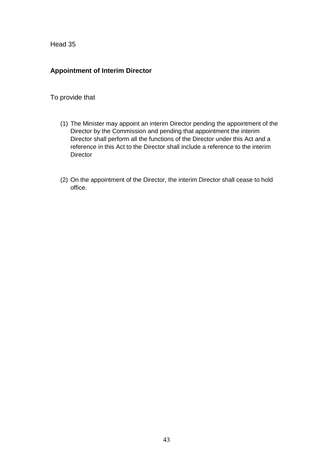# **Appointment of Interim Director**

- (1) The Minister may appoint an interim Director pending the appointment of the Director by the Commission and pending that appointment the interim Director shall perform all the functions of the Director under this Act and a reference in this Act to the Director shall include a reference to the interim **Director**
- (2) On the appointment of the Director, the interim Director shall cease to hold office.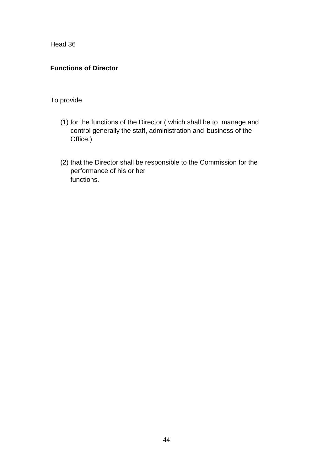# **Functions of Director**

- (1) for the functions of the Director ( which shall be to manage and control generally the staff, administration and business of the Office.)
- (2) that the Director shall be responsible to the Commission for the performance of his or her functions.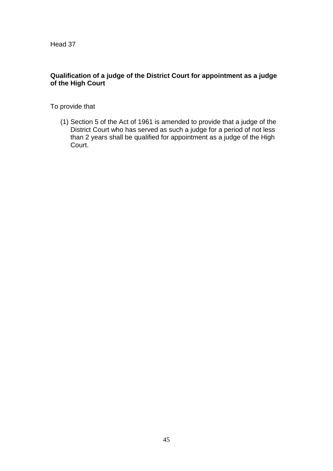# **Qualification of a judge of the District Court for appointment as a judge of the High Court**

To provide that

(1) Section 5 of the Act of 1961 is amended to provide that a judge of the District Court who has served as such a judge for a period of not less than 2 years shall be qualified for appointment as a judge of the High Court.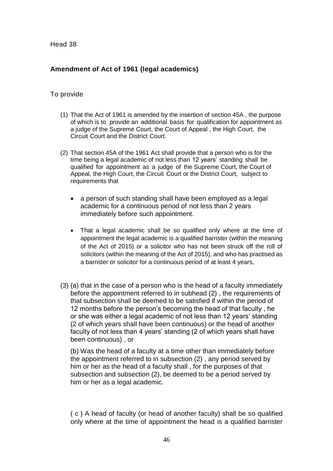# **Amendment of Act of 1961 (legal academics)**

### To provide

- (1) That the Act of 1961 is amended by the insertion of section 45A , the purpose of which is to provide an additional basis for qualification for appointment as a judge of the Supreme Court, the Court of Appeal , the High Court, the Circuit Court and the District Court.
- (2) That section 45A of the 1961 Act shall provide that a person who is for the time being a legal academic of not less than 12 years' standing shall be qualified for appointment as a judge of the Supreme Court, the Court of Appeal, the High Court, the Circuit Court or the District Court, subject to requirements that
	- a person of such standing shall have been employed as a legal academic for a continuous period of not less than 2 years immediately before such appointment.
	- That a legal academic shall be so qualified only where at the time of appointment the legal academic is a qualified barrister (within the meaning of the Act of 2015) or a solicitor who has not been struck off the roll of solicitors (within the meaning of the Act of 2015), and who has practised as a barrister or solicitor for a continuous period of at least 4 years,
- (3) (a) that in the case of a person who is the head of a faculty immediately before the appointment referred to in subhead (2) , the requirements of that subsection shall be deemed to be satisfied if within the period of 12 months before the person's becoming the head of that faculty , he or she was either a legal academic of not less than 12 years' standing (2 of which years shall have been continuous) or the head of another faculty of not less than 4 years' standing (2 of which years shall have been continuous) , or

(b) Was the head of a faculty at a time other than immediately before the appointment referred to in subsection (2) , any period served by him or her as the head of a faculty shall , for the purposes of that subsection and subsection (2), be deemed to be a period served by him or her as a legal academic.

( c ) A head of faculty (or head of another faculty) shall be so qualified only where at the time of appointment the head is a qualified barrister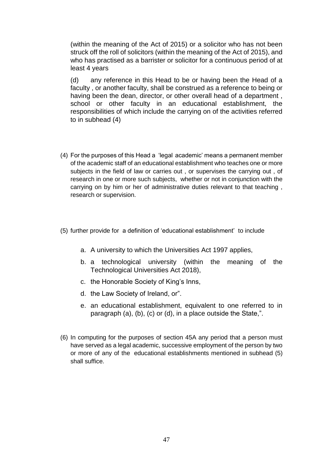(within the meaning of the Act of 2015) or a solicitor who has not been struck off the roll of solicitors (within the meaning of the Act of 2015), and who has practised as a barrister or solicitor for a continuous period of at least 4 years

(d) any reference in this Head to be or having been the Head of a faculty , or another faculty, shall be construed as a reference to being or having been the dean, director, or other overall head of a department , school or other faculty in an educational establishment, the responsibilities of which include the carrying on of the activities referred to in subhead (4)

- (4) For the purposes of this Head a 'legal academic' means a permanent member of the academic staff of an educational establishment who teaches one or more subjects in the field of law or carries out , or supervises the carrying out , of research in one or more such subjects, whether or not in conjunction with the carrying on by him or her of administrative duties relevant to that teaching , research or supervision.
- (5) further provide for a definition of 'educational establishment' to include
	- a. A university to which the Universities Act 1997 applies,
	- b. a technological university (within the meaning of the Technological Universities Act 2018),
	- c. the Honorable Society of King's Inns,
	- d. the Law Society of Ireland, or".
	- e. an educational establishment, equivalent to one referred to in paragraph (a), (b), (c) or (d), in a place outside the State,".
- (6) In computing for the purposes of section 45A any period that a person must have served as a legal academic, successive employment of the person by two or more of any of the educational establishments mentioned in subhead (5) shall suffice.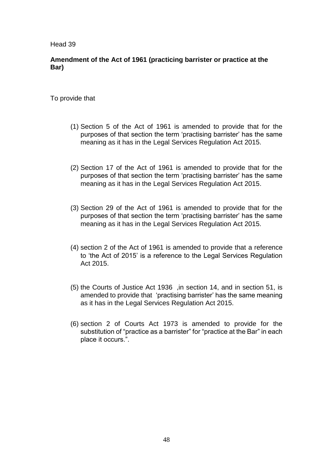### **Amendment of the Act of 1961 (practicing barrister or practice at the Bar)**

- (1) Section 5 of the Act of 1961 is amended to provide that for the purposes of that section the term 'practising barrister' has the same meaning as it has in the Legal Services Regulation Act 2015.
- (2) Section 17 of the Act of 1961 is amended to provide that for the purposes of that section the term 'practising barrister' has the same meaning as it has in the Legal Services Regulation Act 2015.
- (3) Section 29 of the Act of 1961 is amended to provide that for the purposes of that section the term 'practising barrister' has the same meaning as it has in the Legal Services Regulation Act 2015.
- (4) section 2 of the Act of 1961 is amended to provide that a reference to 'the Act of 2015' is a reference to the Legal Services Regulation Act 2015.
- (5) the Courts of Justice Act 1936 ,in section 14, and in section 51, is amended to provide that 'practising barrister' has the same meaning as it has in the Legal Services Regulation Act 2015.
- (6) section 2 of Courts Act 1973 is amended to provide for the substitution of "practice as a barrister" for "practice at the Bar" in each place it occurs.".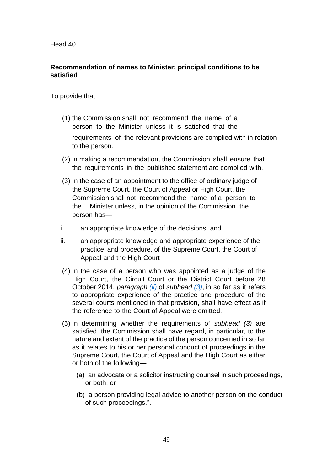# **Recommendation of names to Minister: principal conditions to be satisfied**

- (1) the Commission shall not recommend the name of a person to the Minister unless it is satisfied that the requirements of the relevant provisions are complied with in relation to the person.
- <span id="page-48-1"></span>(2) in making a recommendation, the Commission shall ensure that the requirements in the published statement are complied with.
- (3) In the case of an appointment to the office of ordinary judge of the Supreme Court, the Court of Appeal or High Court, the Commission shall not recommend the name of a person to the Minister unless, in the opinion of the Commission the person has—
- i. an appropriate knowledge of the decisions, and
- <span id="page-48-0"></span>ii. an appropriate knowledge and appropriate experience of the practice and procedure, of the Supreme Court, the Court of Appeal and the High Court
- (4) In the case of a person who was appointed as a judge of the High Court, the Circuit Court or the District Court before 28 October 2014, *paragraph [\(ii\)](#page-48-0)* of *subhead [\(3\)](#page-48-1)*, in so far as it refers to appropriate experience of the practice and procedure of the several courts mentioned in that provision, shall have effect as if the reference to the Court of Appeal were omitted.
- (5) In determining whether the requirements of *subhead (3)* are satisfied, the Commission shall have regard, in particular, to the nature and extent of the practice of the person concerned in so far as it relates to his or her personal conduct of proceedings in the Supreme Court, the Court of Appeal and the High Court as either or both of the following—
	- (a) an advocate or a solicitor instructing counsel in such proceedings, or both, or
	- (b) a person providing legal advice to another person on the conduct of such proceedings.".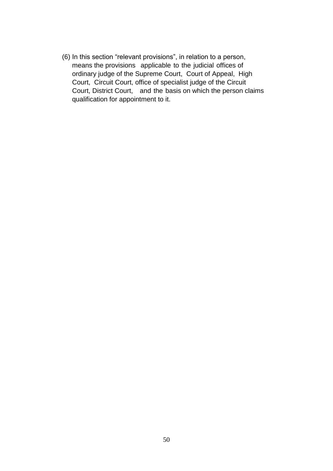(6) In this section "relevant provisions", in relation to a person, means the provisions applicable to the judicial offices of ordinary judge of the Supreme Court, Court of Appeal, High Court, Circuit Court, office of specialist judge of the Circuit Court, District Court, and the basis on which the person claims qualification for appointment to it.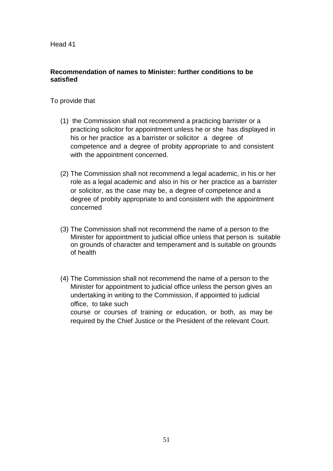### **Recommendation of names to Minister: further conditions to be satisfied**

- (1) the Commission shall not recommend a practicing barrister or a practicing solicitor for appointment unless he or she has displayed in his or her practice as a barrister or solicitor a degree of competence and a degree of probity appropriate to and consistent with the appointment concerned.
- (2) The Commission shall not recommend a legal academic, in his or her role as a legal academic and also in his or her practice as a barrister or solicitor, as the case may be, a degree of competence and a degree of probity appropriate to and consistent with the appointment concerned
- (3) The Commission shall not recommend the name of a person to the Minister for appointment to judicial office unless that person is suitable on grounds of character and temperament and is suitable on grounds of health
- (4) The Commission shall not recommend the name of a person to the Minister for appointment to judicial office unless the person gives an undertaking in writing to the Commission, if appointed to judicial office, to take such course or courses of training or education, or both, as may be required by the Chief Justice or the President of the relevant Court.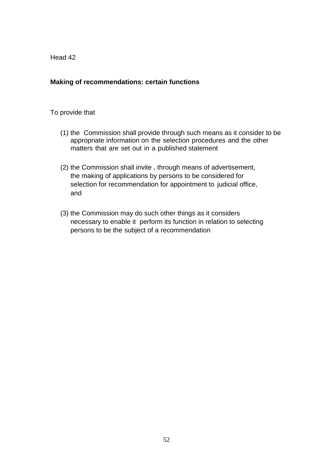### **Making of recommendations: certain functions**

- (1) the Commission shall provide through such means as it consider to be appropriate information on the selection procedures and the other matters that are set out in a published statement
- (2) the Commission shall invite , through means of advertisement, the making of applications by persons to be considered for selection for recommendation for appointment to judicial office, and
- (3) the Commission may do such other things as it considers necessary to enable it perform its function in relation to selecting persons to be the subject of a recommendation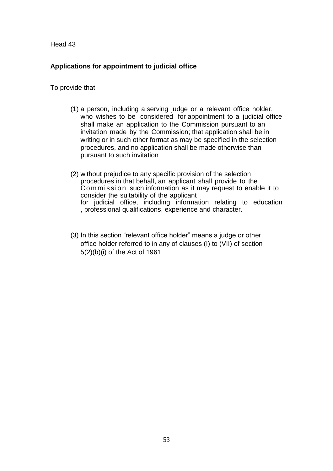# **Applications for appointment to judicial office**

- (1) a person, including a serving judge or a relevant office holder, who wishes to be considered for appointment to a judicial office shall make an application to the Commission pursuant to an invitation made by the Commission; that application shall be in writing or in such other format as may be specified in the selection procedures, and no application shall be made otherwise than pursuant to such invitation
- (2) without prejudice to any specific provision of the selection procedures in that behalf, an applicant shall provide to the Commission such information as it may request to enable it to consider the suitability of the applicant for judicial office, including information relating to education , professional qualifications, experience and character.
- (3) In this section "relevant office holder" means a judge or other office holder referred to in any of clauses (I) to (VII) of section 5(2)(b)(i) of the Act of 1961.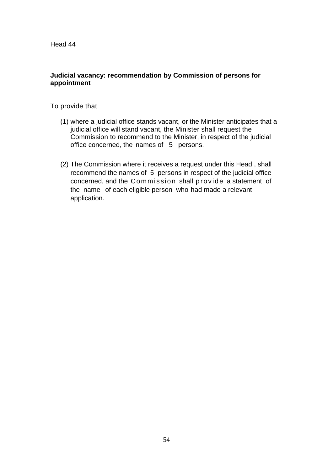### **Judicial vacancy: recommendation by Commission of persons for appointment**

- (1) where a judicial office stands vacant, or the Minister anticipates that a judicial office will stand vacant, the Minister shall request the Commission to recommend to the Minister, in respect of the judicial office concerned, the names of 5 persons.
- (2) The Commission where it receives a request under this Head , shall recommend the names of 5 persons in respect of the judicial office concerned, and the Commission shall provide a statement of the name of each eligible person who had made a relevant application.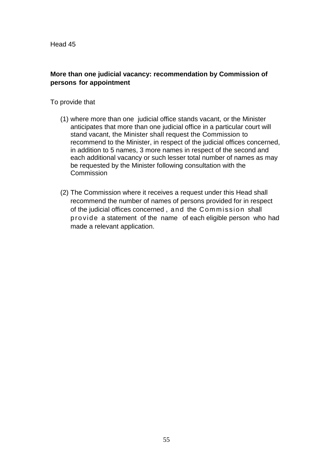# **More than one judicial vacancy: recommendation by Commission of persons for appointment**

- (1) where more than one judicial office stands vacant, or the Minister anticipates that more than one judicial office in a particular court will stand vacant, the Minister shall request the Commission to recommend to the Minister, in respect of the judicial offices concerned, in addition to 5 names, 3 more names in respect of the second and each additional vacancy or such lesser total number of names as may be requested by the Minister following consultation with the **Commission**
- (2) The Commission where it receives a request under this Head shall recommend the number of names of persons provided for in respect of the judicial offices concerned , and the Commiss ion shall pro vide a statement of the name of each eligible person who had made a relevant application.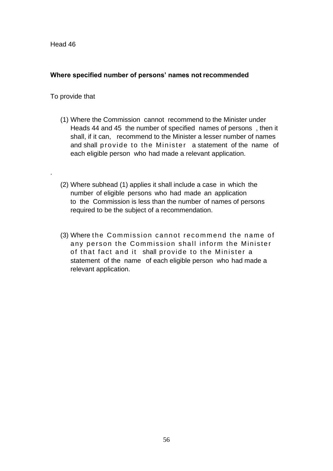# **Where specified number of persons' names not recommended**

### To provide that

.

- (1) Where the Commission cannot recommend to the Minister under Heads 44 and 45 the number of specified names of persons , then it shall, if it can, recommend to the Minister a lesser number of names and shall provide to the Minister a statement of the name of each eligible person who had made a relevant application.
- (2) Where subhead (1) applies it shall include a case in which the number of eligible persons who had made an application to the Commission is less than the number of names of persons required to be the subject of a recommendation.
- (3) Where the Commission cannot reco mmend the name of any person the Commission shall inform the Minister of that fact and it shall provide to the Minister a statement of the name of each eligible person who had made a relevant application.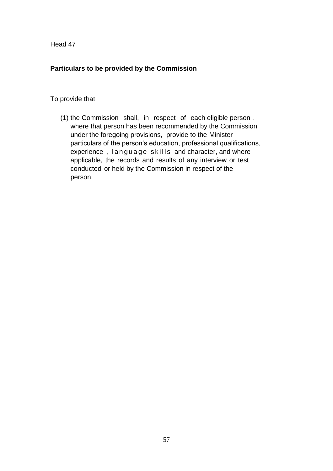# **Particulars to be provided by the Commission**

# To provide that

(1) the Commission shall, in respect of each eligible person , where that person has been recommended by the Commission under the foregoing provisions, provide to the Minister particulars of the person's education, professional qualifications, experience, language skills and character, and where applicable, the records and results of any interview or test conducted or held by the Commission in respect of the person.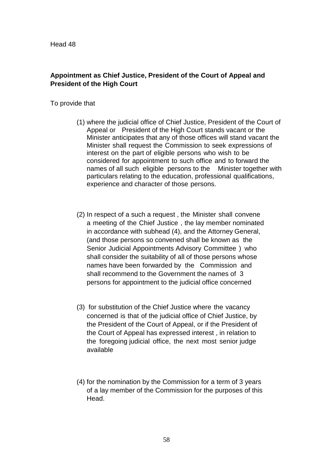# **Appointment as Chief Justice, President of the Court of Appeal and President of the High Court**

- (1) where the judicial office of Chief Justice, President of the Court of Appeal or President of the High Court stands vacant or the Minister anticipates that any of those offices will stand vacant the Minister shall request the Commission to seek expressions of interest on the part of eligible persons who wish to be considered for appointment to such office and to forward the names of all such eligible persons to the Minister together with particulars relating to the education, professional qualifications, experience and character of those persons.
- (2) In respect of a such a request , the Minister shall convene a meeting of the Chief Justice , the lay member nominated in accordance with subhead (4), and the Attorney General, (and those persons so convened shall be known as the Senior Judicial Appointments Advisory Committee ) who shall consider the suitability of all of those persons whose names have been forwarded by the Commission and shall recommend to the Government the names of 3 persons for appointment to the judicial office concerned
- (3) for substitution of the Chief Justice where the vacancy concerned is that of the judicial office of Chief Justice, by the President of the Court of Appeal, or if the President of the Court of Appeal has expressed interest , in relation to the foregoing judicial office, the next most senior judge available
- (4) for the nomination by the Commission for a term of 3 years of a lay member of the Commission for the purposes of this Head.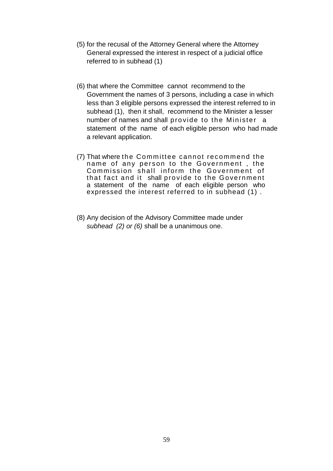- (5) for the recusal of the Attorney General where the Attorney General expressed the interest in respect of a judicial office referred to in subhead (1)
- (6) that where the Committee cannot recommend to the Government the names of 3 persons, including a case in which less than 3 eligible persons expressed the interest referred to in subhead (1), then it shall, recommend to the Minister a lesser number of names and shall provide to the Minister a statement of the name of each eligible person who had made a relevant application.
- (7) That where the Committee cannot recommend the name of any person to the Government, the Commission shall inform the Government of that fact and it shall provide to the Government a statement of the name of each eligible person who expressed the interest referred to in subhead (1) .
- (8) Any decision of the Advisory Committee made under *subhead (2) or (6)* shall be a unanimous one.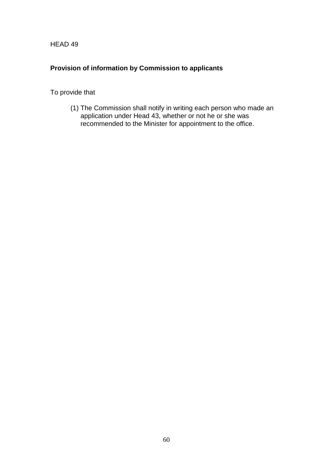# **Provision of information by Commission to applicants**

To provide that

(1) The Commission shall notify in writing each person who made an application under Head 43, whether or not he or she was recommended to the Minister for appointment to the office.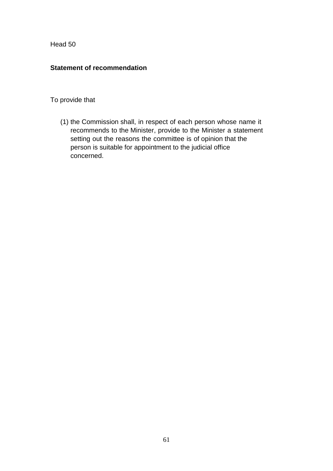# **Statement of recommendation**

# To provide that

(1) the Commission shall, in respect of each person whose name it recommends to the Minister, provide to the Minister a statement setting out the reasons the committee is of opinion that the person is suitable for appointment to the judicial office concerned.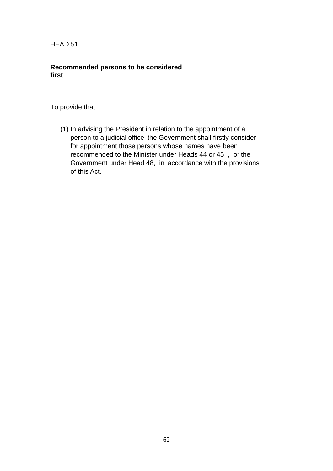# **Recommended persons to be considered first**

To provide that :

(1) In advising the President in relation to the appointment of a person to a judicial office the Government shall firstly consider for appointment those persons whose names have been recommended to the Minister under Heads 44 or 45 , or the Government under Head 48, in accordance with the provisions of this Act.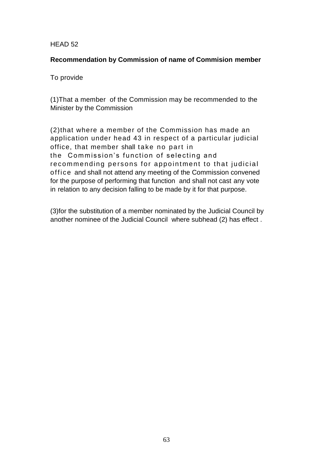### **Recommendation by Commission of name of Commision member**

To provide

(1)That a member of the Commission may be recommended to the Minister by the Commission

(2)that where a member of the Commission has made an application under head 43 in respect of a particular judicial office, that member shall take no part in the Commission's function of selecting and recommending persons for appointment to that judicial off ice and shall not attend any meeting of the Commission convened for the purpose of performing that function and shall not cast any vote in relation to any decision falling to be made by it for that purpose.

(3)for the substitution of a member nominated by the Judicial Council by another nominee of the Judicial Council where subhead (2) has effect .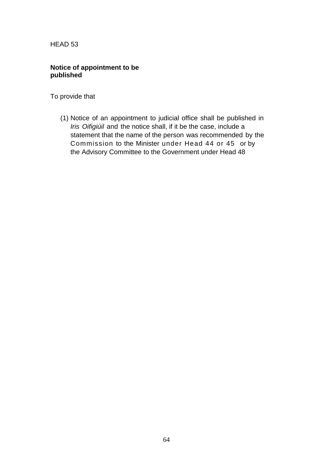# **Notice of appointment to be published**

To provide that

(1) Notice of an appointment to judicial office shall be published in *Iris Oifigiúil* and the notice shall, if it be the case, include a statement that the name of the person was recommended by the Commission to the Minister under Head 44 or 45 or by the Advisory Committee to the Government under Head 48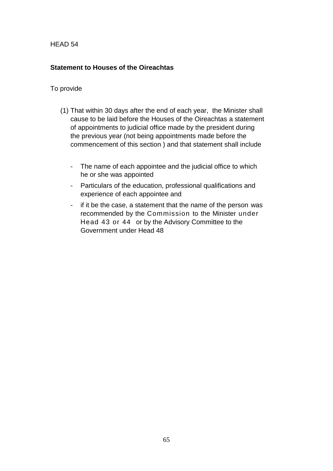# **Statement to Houses of the Oireachtas**

- (1) That within 30 days after the end of each year, the Minister shall cause to be laid before the Houses of the Oireachtas a statement of appointments to judicial office made by the president during the previous year (not being appointments made before the commencement of this section ) and that statement shall include
	- The name of each appointee and the judicial office to which he or she was appointed
	- Particulars of the education, professional qualifications and experience of each appointee and
	- if it be the case, a statement that the name of the person was recommended by the Commission to the Minister under Head 43 or 44 or by the Advisory Committee to the Government under Head 48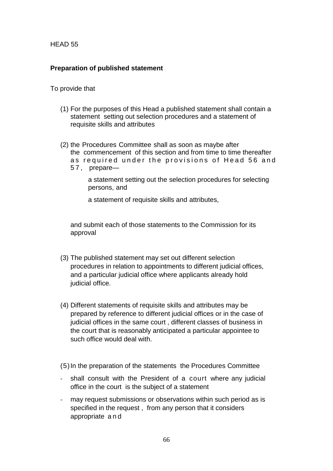# **Preparation of published statement**

#### To provide that

- (1) For the purposes of this Head a published statement shall contain a statement setting out selection procedures and a statement of requisite skills and attributes
- (2) the Procedures Committee shall as soon as maybe after the commencement of this section and from time to time thereafter as required under the provisions of Head 56 and
	- 5 7 , prepare—

a statement setting out the selection procedures for selecting persons, and

a statement of requisite skills and attributes,

and submit each of those statements to the Commission for its approval

- (3) The published statement may set out different selection procedures in relation to appointments to different judicial offices, and a particular judicial office where applicants already hold judicial office.
- (4) Different statements of requisite skills and attributes may be prepared by reference to different judicial offices or in the case of judicial offices in the same court , different classes of business in the court that is reasonably anticipated a particular appointee to such office would deal with.

(5)In the preparation of the statements the Procedures Committee

- shall consult with the President of a court where any judicial office in the court is the subject of a statement
- may request submissions or observations within such period as is specified in the request , from any person that it considers appropriate and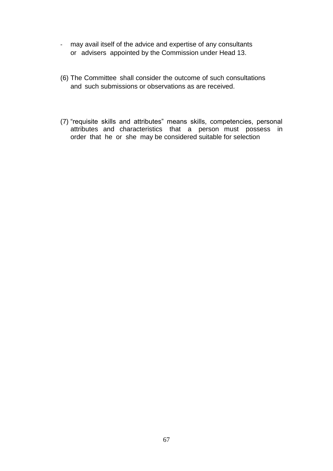- may avail itself of the advice and expertise of any consultants or advisers appointed by the Commission under Head 13.
- (6) The Committee shall consider the outcome of such consultations and such submissions or observations as are received.
- (7) "requisite skills and attributes" means skills, competencies, personal attributes and characteristics that a person must possess in order that he or she may be considered suitable for selection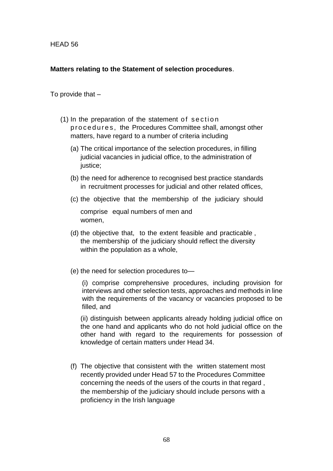### **Matters relating to the Statement of selection procedures**.

To provide that –

- $(1)$  In the preparation of the statement of section p r o c e d u r e s, the Procedures Committee shall, amongst other matters, have regard to a number of criteria including
	- (a) The critical importance of the selection procedures, in filling judicial vacancies in judicial office, to the administration of justice:
	- (b) the need for adherence to recognised best practice standards in recruitment processes for judicial and other related offices,
	- (c) the objective that the membership of the judiciary should

comprise equal numbers of men and women,

- (d) the objective that, to the extent feasible and practicable , the membership of the judiciary should reflect the diversity within the population as a whole,
- (e) the need for selection procedures to—

(i) comprise comprehensive procedures, including provision for interviews and other selection tests, approaches and methods in line with the requirements of the vacancy or vacancies proposed to be filled, and

(ii) distinguish between applicants already holding judicial office on the one hand and applicants who do not hold judicial office on the other hand with regard to the requirements for possession of knowledge of certain matters under Head 34.

(f) The objective that consistent with the written statement most recently provided under Head 57 to the Procedures Committee concerning the needs of the users of the courts in that regard , the membership of the judiciary should include persons with a proficiency in the Irish language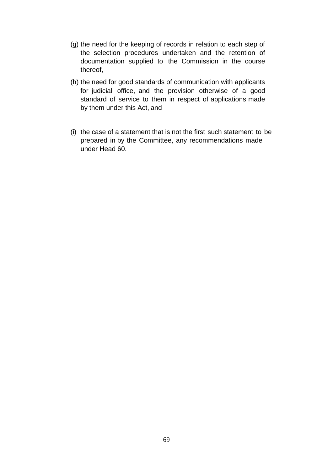- (g) the need for the keeping of records in relation to each step of the selection procedures undertaken and the retention of documentation supplied to the Commission in the course thereof,
- (h) the need for good standards of communication with applicants for judicial office, and the provision otherwise of a good standard of service to them in respect of applications made by them under this Act, and
- (i) the case of a statement that is not the first such statement to be prepared in by the Committee, any recommendations made under Head 60.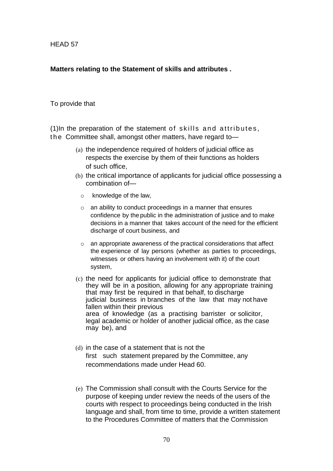### **Matters relating to the Statement of skills and attributes .**

#### To provide that

 $(1)$ In the preparation of the statement of skills and attributes, the Committee shall, amongst other matters, have regard to-

- (a) the independence required of holders of judicial office as respects the exercise by them of their functions as holders of such office,
- (b) the critical importance of applicants for judicial office possessing a combination of
	- o knowledge of the law,
	- o an ability to conduct proceedings in a manner that ensures confidence by the public in the administration of justice and to make decisions in a manner that takes account of the need for the efficient discharge of court business, and
	- o an appropriate awareness of the practical considerations that affect the experience of lay persons (whether as parties to proceedings, witnesses or others having an involvement with it) of the court system,
- (c) the need for applicants for judicial office to demonstrate that they will be in a position, allowing for any appropriate training that may first be required in that behalf, to discharge judicial business in branches of the law that may not have fallen within their previous area of knowledge (as a practising barrister or solicitor, legal academic or holder of another judicial office, as the case may be), and
- (d) in the case of a statement that is not the first such statement prepared by the Committee, any recommendations made under Head 60.
- (e) The Commission shall consult with the Courts Service for the purpose of keeping under review the needs of the users of the courts with respect to proceedings being conducted in the Irish language and shall, from time to time, provide a written statement to the Procedures Committee of matters that the Commission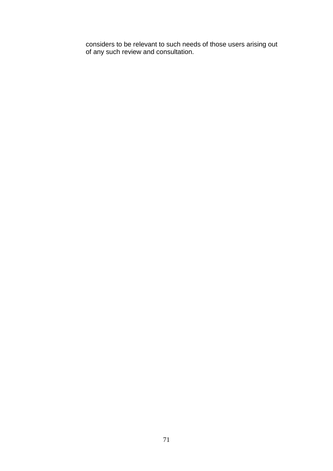considers to be relevant to such needs of those users arising out of any such review and consultation.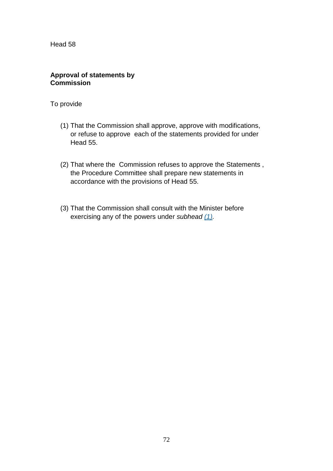### **Approval of statements by Commission**

- <span id="page-71-0"></span>(1) That the Commission shall approve, approve with modifications, or refuse to approve each of the statements provided for under Head 55.
- (2) That where the Commission refuses to approve the Statements , the Procedure Committee shall prepare new statements in accordance with the provisions of Head 55.
- (3) That the Commission shall consult with the Minister before exercising any of the powers under *subhead [\(1\).](#page-71-0)*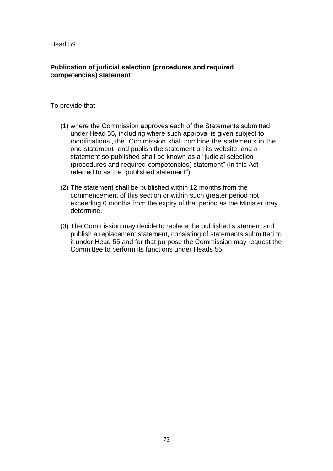# **Publication of judicial selection (procedures and required competencies) statement**

### To provide that

- (1) where the Commission approves each of the Statements submitted under Head 55, including where such approval is given subject to modifications , the Commission shall combine the statements in the one statement and publish the statement on its website, and a statement so published shall be known as a "judicial selection (procedures and required competencies) statement" (in this Act referred to as the "published statement").
- (2) The statement shall be published within 12 months from the commencement of this section or within such greater period not exceeding 6 months from the expiry of that period as the Minister may determine.
- (3) The Commission may decide to replace the published statement and publish a replacement statement, consisting of statements submitted to it under Head 55 and for that purpose the Commission may request the Committee to perform its functions under Heads 55.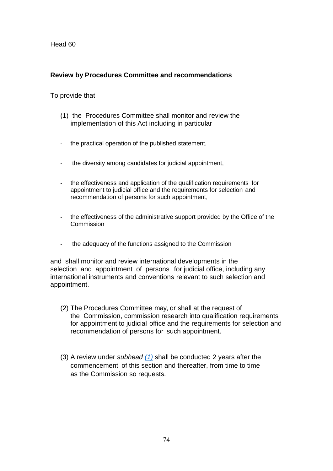# <span id="page-73-0"></span>**Review by Procedures Committee and recommendations**

#### To provide that

- (1) the Procedures Committee shall monitor and review the implementation of this Act including in particular
- the practical operation of the published statement,
- the diversity among candidates for judicial appointment.
- the effectiveness and application of the qualification requirements for appointment to judicial office and the requirements for selection and recommendation of persons for such appointment,
- the effectiveness of the administrative support provided by the Office of the **Commission**
- the adequacy of the functions assigned to the Commission

and shall monitor and review international developments in the selection and appointment of persons for judicial office, including any international instruments and conventions relevant to such selection and appointment.

- (2) The Procedures Committee may, or shall at the request of the Commission, commission research into qualification requirements for appointment to judicial office and the requirements for selection and recommendation of persons for such appointment.
- <span id="page-73-1"></span>(3) A review under *subhead [\(1\)](#page-73-0)* shall be conducted 2 years after the commencement of this section and thereafter, from time to time as the Commission so requests.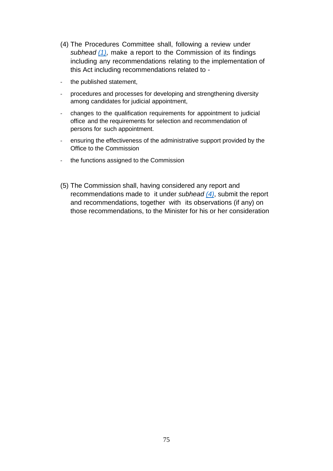- (4) The Procedures Committee shall, following a review under *subhead [\(1\)](#page-73-0)*, make a report to the Commission of its findings including any recommendations relating to the implementation of this Act including recommendations related to -
- the published statement,
- procedures and processes for developing and strengthening diversity among candidates for judicial appointment,
- changes to the qualification requirements for appointment to judicial office and the requirements for selection and recommendation of persons for such appointment.
- ensuring the effectiveness of the administrative support provided by the Office to the Commission
- the functions assigned to the Commission
- (5) The Commission shall, having considered any report and recommendations made to it under *subhead [\(4\)](#page-73-1)*, submit the report and recommendations, together with its observations (if any) on those recommendations, to the Minister for his or her consideration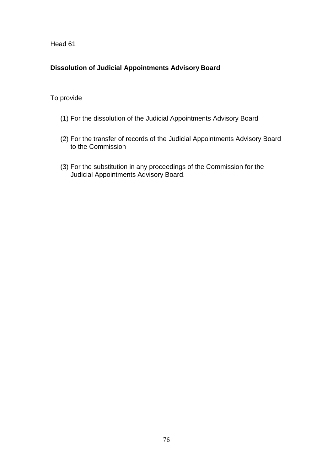# **Dissolution of Judicial Appointments Advisory Board**

# To provide

- (1) For the dissolution of the Judicial Appointments Advisory Board
- (2) For the transfer of records of the Judicial Appointments Advisory Board to the Commission
- (3) For the substitution in any proceedings of the Commission for the Judicial Appointments Advisory Board.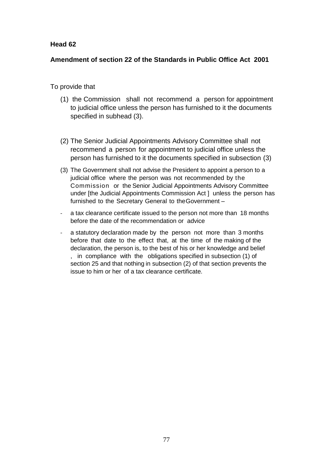### **Amendment of section 22 of the Standards in Public Office Act 2001**

To provide that

- (1) the Commission shall not recommend a person for appointment to judicial office unless the person has furnished to it the documents specified in subhead (3).
- (2) The Senior Judicial Appointments Advisory Committee shall not recommend a person for appointment to judicial office unless the person has furnished to it the documents specified in subsection (3)
- (3) The Government shall not advise the President to appoint a person to a judicial office where the person was not recommended by the Commission or the Senior Judicial Appointments Advisory Committee under [the Judicial Appointments Commission Act ] unless the person has furnished to the Secretary General to the Government –
- a tax clearance certificate issued to the person not more than 18 months before the date of the recommendation or advice
- a statutory declaration made by the person not more than 3 months before that date to the effect that, at the time of the making of the declaration, the person is, to the best of his or her knowledge and belief , in compliance with the obligations specified in subsection (1) of section 25 and that nothing in subsection (2) of that section prevents the issue to him or her of a tax clearance certificate.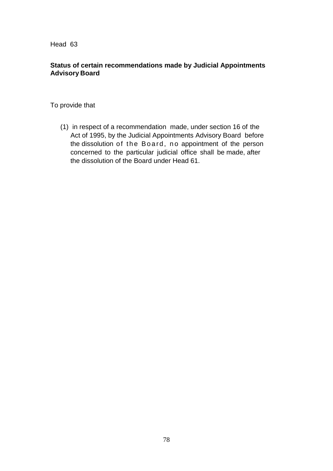# **Status of certain recommendations made by Judicial Appointments Advisory Board**

To provide that

(1) in respect of a recommendation made, under section 16 of the Act of 1995, by the Judicial Appointments Advisory Board before the dissolution of the Board, no appointment of the person concerned to the particular judicial office shall be made, after the dissolution of the Board under Head 61.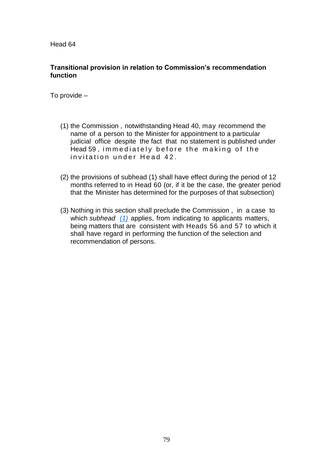### **Transitional provision in relation to Commission's recommendation function**

To provide –

- (1) the Commission , notwithstanding Head 40, may recommend the name of a person to the Minister for appointment to a particular judicial office despite the fact that no statement is published under Head 59, immediately before the making of the invitation under Head 42.
- <span id="page-78-0"></span>(2) the provisions of subhead (1) shall have effect during the period of 12 months referred to in Head 60 (or, if it be the case, the greater period that the Minister has determined for the purposes of that subsection)
- (3) Nothing in this section shall preclude the Commission , in a case to which *subhead [\(1\)](#page-78-0)* applies, from indicating to applicants matters, being matters that are consistent with Heads 56 and 57 to which it shall have regard in performing the function of the selection and recommendation of persons.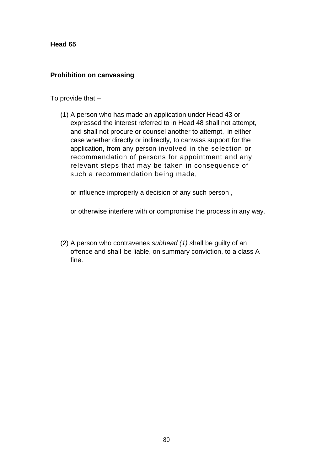#### **Prohibition on canvassing**

To provide that –

(1) A person who has made an application under Head 43 or expressed the interest referred to in Head 48 shall not attempt, and shall not procure or counsel another to attempt, in either case whether directly or indirectly, to canvass support for the application, from any person involved in the selection or recommendation of persons for appointment and any relevant steps that may be taken in consequence of such a recommendation being made,

or influence improperly a decision of any such person ,

or otherwise interfere with or compromise the process in any way.

(2) A person who contravenes *subhead (1) s*hall be guilty of an offence and shall be liable, on summary conviction, to a class A fine.